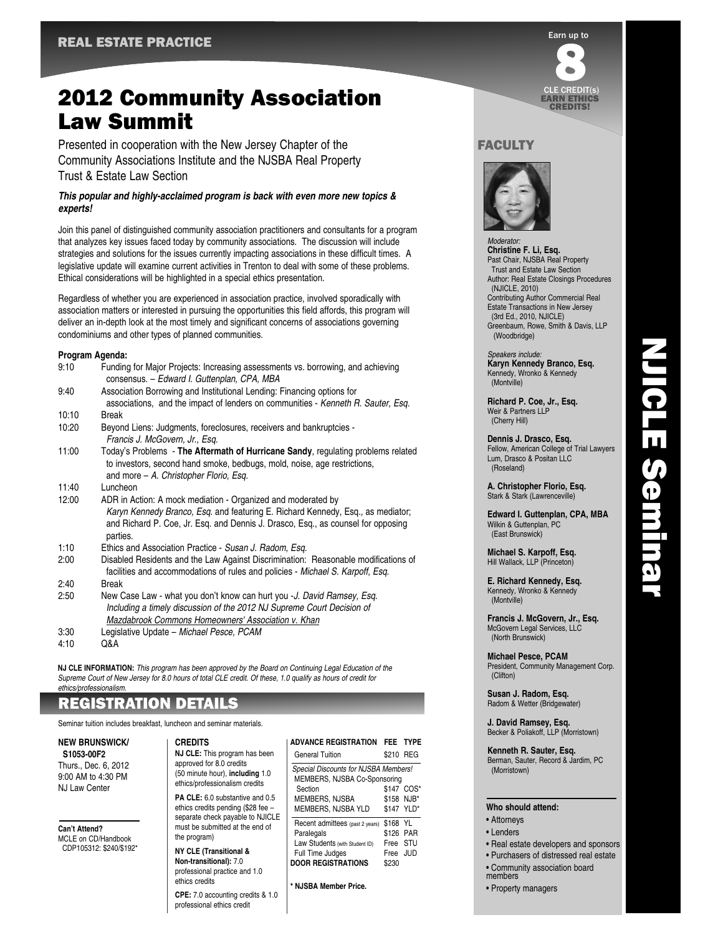# 2012 Community Association Law Summit

Presented in cooperation with the New Jersey Chapter of the Community Associations Institute and the NJSBA Real Property Trust & Estate Law Section

### *This popular and highly-acclaimed program is back with even more new topics & experts!*

Join this panel of distinguished community association practitioners and consultants for a program that analyzes key issues faced today by community associations. The discussion will include strategies and solutions for the issues currently impacting associations in these difficult times. A legislative update will examine current activities in Trenton to deal with some of these problems. Ethical considerations will be highlighted in a special ethics presentation.

Regardless of whether you are experienced in association practice, involved sporadically with association matters or interested in pursuing the opportunities this field affords, this program will deliver an in-depth look at the most timely and significant concerns of associations governing condominiums and other types of planned communities.

#### **Program Agenda:**

| 9:10  | Funding for Major Projects: Increasing assessments vs. borrowing, and achieving<br>consensus. - Edward I. Guttenplan, CPA, MBA                                                                                                                  |
|-------|-------------------------------------------------------------------------------------------------------------------------------------------------------------------------------------------------------------------------------------------------|
| 9:40  | Association Borrowing and Institutional Lending: Financing options for<br>associations, and the impact of lenders on communities - Kenneth R. Sauter, Esq.                                                                                      |
| 10:10 | <b>Break</b>                                                                                                                                                                                                                                    |
| 10:20 | Beyond Liens: Judgments, foreclosures, receivers and bankruptcies -<br>Francis J. McGovern, Jr., Esg.                                                                                                                                           |
| 11:00 | Today's Problems - The Aftermath of Hurricane Sandy, regulating problems related<br>to investors, second hand smoke, bedbugs, mold, noise, age restrictions,<br>and more $-$ A. Christopher Florio, Esq.                                        |
| 11:40 | Luncheon                                                                                                                                                                                                                                        |
| 12:00 | ADR in Action: A mock mediation - Organized and moderated by<br>Karyn Kennedy Branco, Esq. and featuring E. Richard Kennedy, Esq., as mediator;<br>and Richard P. Coe, Jr. Esq. and Dennis J. Drasco, Esq., as counsel for opposing<br>parties. |
| 1:10  | Ethics and Association Practice - Susan J. Radom, Esq.                                                                                                                                                                                          |
| 2:00  | Disabled Residents and the Law Against Discrimination: Reasonable modifications of<br>facilities and accommodations of rules and policies - Michael S. Karpoff, Esq.                                                                            |
| 2:40  | <b>Break</b>                                                                                                                                                                                                                                    |
| 2:50  | New Case Law - what you don't know can hurt you -J. David Ramsey, Esg.<br>Including a timely discussion of the 2012 NJ Supreme Court Decision of<br>Mazdabrook Commons Homeowners' Association v. Khan                                          |
| 3:30  | Legislative Update – Michael Pesce, PCAM                                                                                                                                                                                                        |
| 4:10  | Q&A                                                                                                                                                                                                                                             |

**NJ CLE INFORMATION:** This program has been approved by the Board on Continuing Legal Education of the Supreme Court of New Jersey for 8.0 hours of total CLE credit. Of these, 1.0 qualify as hours of credit for ethics/professionalism.

# REGISTRATION DETAILS

Seminar tuition includes breakfast, luncheon and seminar materials.

## **NEW BRUNSWICK/**

**S1053-00F2** Thurs., Dec. 6, 2012 9:00 AM to 4:30 PM NJ Law Center

### **Can't Attend?**

MCLE on CD/Handbook CDP105312: \$240/\$192\*

#### **CREDITS**

**NJ CLE:** This program has been approved for 8.0 credits (50 minute hour), **including** 1.0 ethics/professionalism credits **PA CLE:** 6.0 substantive and 0.5

ethics credits pending (\$28 fee – separate check payable to NJICLE must be submitted at the end of the program)

**NY CLE (Transitional & Non-transitional):** 7.0 professional practice and 1.0 ethics credits

**CPE:** 7.0 accounting credits & 1.0 professional ethics credit

#### **ADVANCE REGISTRATION FEE TYPE** General Tuition \$210 RFG Special Discounts for NJSBA Members! MEMBERS, NJSBA Co-Sponsoring Section \$147 COS\* MEMBERS NJSBA \$158 NJB\* MEMBERS, NJSBA YLD \$147 YLD\* Recent admittees (past 2 years) \$168 YL<br>Paralegals \$126 PA \$126 PAR Law Students (with Student ID) Free STU Full Time Judges Free JUD **DOOR REGISTRATIONS** \$230

**\* NJSBA Member Price.**



# **FACULTY**



*Moderator* **Christine F. Li, Esq.** Past Chair, NJSBA Real Property Trust and Estate Law Section Author: Real Estate Closings Procedures (NJICLE, 2010) Contributing Author Commercial Real Estate Transactions in New Jersey (3rd Ed., 2010, NJICLE) Greenbaum, Rowe, Smith & Davis, LLP (Woodbridge)

Speakers include: **Karyn Kennedy Branco, Esq.** Kennedy, Wronko & Kennedy (Montville)

**Richard P. Coe, Jr., Esq.** Weir & Partners LLP (Cherry Hill)

**Dennis J. Drasco, Esq.** Fellow, American College of Trial Lawyers Lum, Drasco & Positan LLC (Roseland)

NJICLE Seminar

**NJICLE Seminar** 

**A. Christopher Florio, Esq.** Stark & Stark (Lawrenceville)

**Edward I. Guttenplan, CPA, MBA** Wilkin & Guttenplan, PC (East Brunswick)

**Michael S. Karpoff, Esq.** Hill Wallack, LLP (Princeton)

**E. Richard Kennedy, Esq.** Kennedy, Wronko & Kennedy (Montville)

**Francis J. McGovern, Jr., Esq.** McGovern Legal Services, LLC (North Brunswick)

**Michael Pesce, PCAM** President, Community Management Corp. (Clifton)

**Susan J. Radom, Esq.** Radom & Wetter (Bridgewater)

**J. David Ramsey, Esq.** Becker & Poliakoff, LLP (Morristown)

**Kenneth R. Sauter, Esq.** Berman, Sauter, Record & Jardim, PC (Morristown)

#### **Who should attend:**

- Attorneys
- Lenders
- Real estate developers and sponsors
- Purchasers of distressed real estate
- Community association board members
-